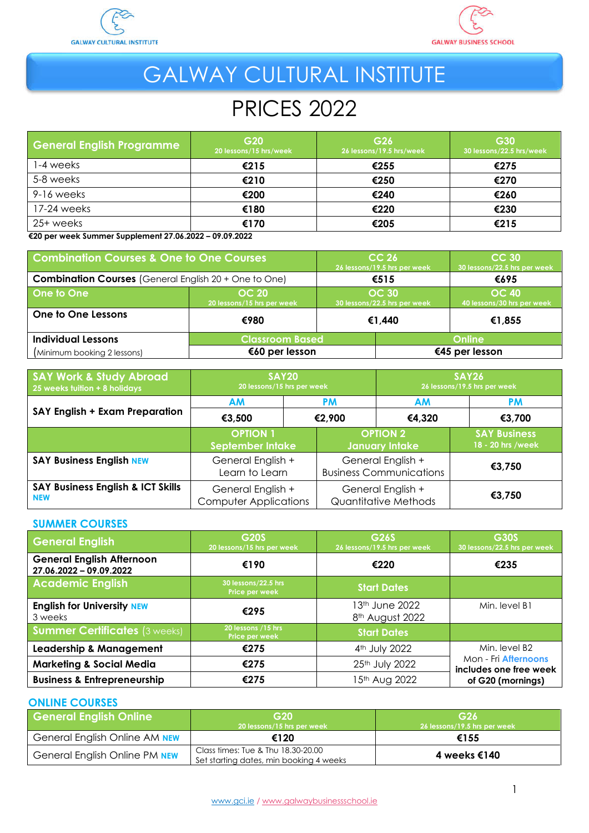



# GALWAY CULTURAL INSTITUTE

# PRICES 2022

| <b>General English Programme</b> | G <sub>20</sub><br>20 lessons/15 hrs/week | G <sub>26</sub><br>26 lessons/19.5 hrs/week | G30<br>30 lessons/22.5 hrs/week |
|----------------------------------|-------------------------------------------|---------------------------------------------|---------------------------------|
| 1-4 weeks                        | €215                                      | €255                                        | €275                            |
| 5-8 weeks                        | €210                                      | €250                                        | €270                            |
| 9-16 weeks                       | €200                                      | €240                                        | €260                            |
| 17-24 weeks                      | €180                                      | €220                                        | €230                            |
| 25+ weeks                        | €170                                      | €205                                        | €215                            |

 **€20 per week Summer Supplement 27.06.2022 – 09.09.2022** 

| <b>Combination Courses &amp; One to One Courses</b>          |                                            | CC <sub>26</sub><br>26 lessons/19.5 hrs per week |                                              | <b>CC 30</b><br>30 lessons/22.5 hrs per week |
|--------------------------------------------------------------|--------------------------------------------|--------------------------------------------------|----------------------------------------------|----------------------------------------------|
| <b>Combination Courses</b> (General English 20 + One to One) |                                            | €515                                             |                                              | €695                                         |
| One to One                                                   | <b>OC 20</b><br>20 lessons/15 hrs per week |                                                  | <b>OC 30</b><br>30 lessons/22.5 hrs per week | <b>OC 40</b><br>40 lessons/30 hrs per week   |
| One to One Lessons                                           | €980                                       |                                                  | €1,440                                       | €1,855                                       |
| <b>Individual Lessons</b>                                    |                                            | <b>Classroom Based</b>                           |                                              | Online                                       |
| (Minimum booking 2 lessons)                                  | €60 per lesson                             |                                                  |                                              | €45 per lesson                               |

| <b>SAY Work &amp; Study Abroad</b><br>25 weeks tuition + 8 holidays | <b>SAY20</b><br>20 lessons/15 hrs per week        |  | SAY26<br>26 lessons/19.5 hrs per week               |                                          |        |
|---------------------------------------------------------------------|---------------------------------------------------|--|-----------------------------------------------------|------------------------------------------|--------|
|                                                                     | <b>AM</b><br><b>PM</b><br>€2.900<br>€3,500        |  | <b>AM</b>                                           | <b>PM</b>                                |        |
| SAY English + Exam Preparation                                      |                                                   |  | €4,320                                              | €3,700                                   |        |
|                                                                     | <b>OPTION 1</b><br>September Intake               |  | <b>OPTION 2</b><br>January Intake                   | <b>SAY Business</b><br>18 - 20 hrs /week |        |
| <b>SAY Business English NEW</b>                                     | General English +<br>Learn to Learn               |  | General English +<br><b>Business Communications</b> | €3,750                                   |        |
| <b>SAY Business English &amp; ICT Skills</b><br><b>NEW</b>          | General English +<br><b>Computer Applications</b> |  | General English +<br>Quantitative Methods           |                                          | €3,750 |

#### **SUMMER COURSES**

| <b>General English</b>                                      | G20S<br>20 lessons/15 hrs per week    | G26S<br>26 lessons/19.5 hrs per week          | <b>G30S</b><br>30 lessons/22.5 hrs per week    |
|-------------------------------------------------------------|---------------------------------------|-----------------------------------------------|------------------------------------------------|
| <b>General English Afternoon</b><br>27.06.2022 - 09.09.2022 | €190                                  | €220                                          | €235                                           |
| <b>Academic English</b>                                     | 30 lessons/22.5 hrs<br>Price per week | <b>Start Dates</b>                            |                                                |
| <b>English for University NEW</b><br>3 weeks                | €295                                  | 13 <sup>th</sup> June 2022<br>8th August 2022 | Min. level B1                                  |
| <b>Summer Certificates (3 weeks)</b>                        | 20 lessons /15 hrs<br>Price per week  | <b>Start Dates</b>                            |                                                |
| <b>Leadership &amp; Management</b>                          | €275                                  | 4 <sup>th</sup> July 2022                     | Min. level B2                                  |
| <b>Marketing &amp; Social Media</b>                         | €275                                  | 25th July 2022                                | Mon - Fri Afternoons<br>includes one free week |
| <b>Business &amp; Entrepreneurship</b>                      | €275                                  | 15 <sup>th</sup> Aug 2022                     | of G20 (mornings)                              |

#### **ONLINE COURSES**

| <b>General English Online</b> | G <sub>20</sub><br>20 lessons/15 hrs per week                                 | G26<br>26 lessons/19.5 hrs per week |
|-------------------------------|-------------------------------------------------------------------------------|-------------------------------------|
| General English Online AM NEW | €120                                                                          | €155                                |
| General English Online PM NEW | Class times: Tue & Thu 18.30-20.00<br>Set starting dates, min booking 4 weeks | 4 weeks €140                        |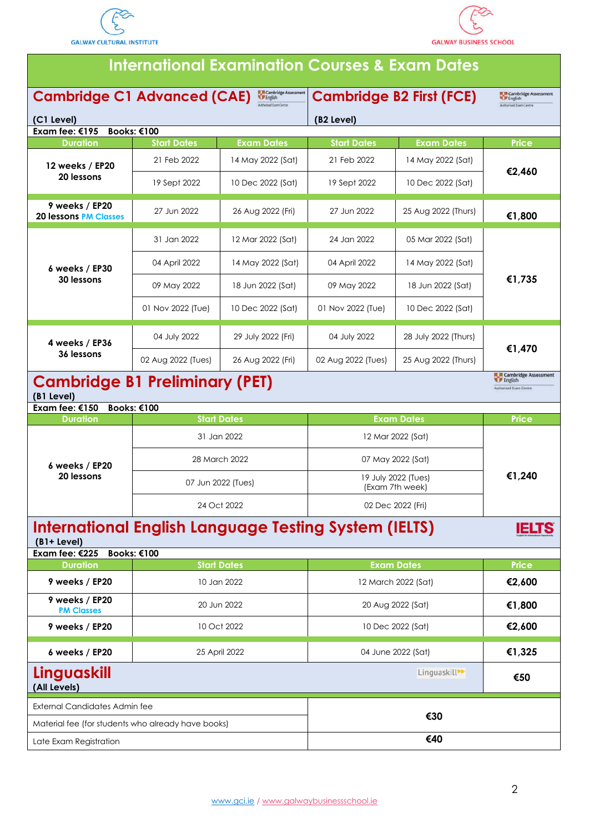



| <b>International Examination Courses &amp; Exam Dates</b>                                                           |                    |                    |                                        |                      |                                                                         |
|---------------------------------------------------------------------------------------------------------------------|--------------------|--------------------|----------------------------------------|----------------------|-------------------------------------------------------------------------|
| <b>EL R</b> Cambridge Assessment<br><b>Cambridge C1 Advanced (CAE)</b><br><b>W</b> English<br>uthorised Tuam Centre |                    |                    | <b>Cambridge B2 First (FCE)</b>        |                      | Cambridge Assessment<br><b>V</b> English<br>withorized Exam Centre      |
| (C1 Level)                                                                                                          |                    |                    | (B <sub>2</sub> Level)                 |                      |                                                                         |
| Exam fee: $€195$                                                                                                    | Books: €100        |                    |                                        |                      |                                                                         |
| <b>Duration</b>                                                                                                     | <b>Start Dates</b> | <b>Exam Dates</b>  | <b>Start Dates</b>                     | <b>Exam Dates</b>    | Price                                                                   |
| 12 weeks / EP20                                                                                                     | 21 Feb 2022        | 14 May 2022 (Sat)  | 21 Feb 2022                            | 14 May 2022 (Sat)    | €2,460                                                                  |
| 20 lessons                                                                                                          | 19 Sept 2022       | 10 Dec 2022 (Sat)  | 19 Sept 2022                           | 10 Dec 2022 (Sat)    |                                                                         |
| 9 weeks / EP20<br><b>20 lessons PM Classes</b>                                                                      | 27 Jun 2022        | 26 Aug 2022 (Fri)  | 27 Jun 2022                            | 25 Aug 2022 (Thurs)  | €1,800                                                                  |
|                                                                                                                     | 31 Jan 2022        | 12 Mar 2022 (Sat)  | 24 Jan 2022                            | 05 Mar 2022 (Sat)    |                                                                         |
| 6 weeks / EP30                                                                                                      | 04 April 2022      | 14 May 2022 (Sat)  | 04 April 2022                          | 14 May 2022 (Sat)    |                                                                         |
| 30 lessons                                                                                                          | 09 May 2022        | 18 Jun 2022 (Sat)  | 09 May 2022                            | 18 Jun 2022 (Sat)    | €1,735                                                                  |
|                                                                                                                     | 01 Nov 2022 (Tue)  | 10 Dec 2022 (Sat)  | 01 Nov 2022 (Tue)                      | 10 Dec 2022 (Sat)    |                                                                         |
| 4 weeks / EP36                                                                                                      | 04 July 2022       | 29 July 2022 (Fri) | 04 July 2022                           | 28 July 2022 (Thurs) | €1,470                                                                  |
| 36 lessons                                                                                                          | 02 Aug 2022 (Tues) | 26 Aug 2022 (Fri)  | 02 Aug 2022 (Tues)                     | 25 Aug 2022 (Thurs)  |                                                                         |
| <b>Cambridge B1 Preliminary (PET)</b><br>(B1 Level)<br>Exam fee: $€150$                                             | Books: €100        |                    |                                        |                      | Cambridge Assessment<br><b>English</b><br><b>Authorised Exam Centre</b> |
| <b>Duration</b>                                                                                                     |                    | <b>Start Dates</b> |                                        | <b>Exam Dates</b>    | <b>Price</b>                                                            |
|                                                                                                                     |                    | 31 Jan 2022        | 12 Mar 2022 (Sat)                      |                      |                                                                         |
| 6 weeks / EP20                                                                                                      |                    | 28 March 2022      | 07 May 2022 (Sat)                      |                      |                                                                         |
| 20 lessons                                                                                                          |                    | 07 Jun 2022 (Tues) | 19 July 2022 (Tues)<br>(Exam 7th week) |                      | €1,240                                                                  |
|                                                                                                                     |                    | 24 Oct 2022        |                                        | 02 Dec 2022 (Fri)    |                                                                         |
| <b>International English Language Testing System (IELTS)</b><br>$(B1 + Level)$<br>Exam fee: €225                    | Books: €100        |                    |                                        |                      | <b>IELTS</b>                                                            |
| <b>Duration</b>                                                                                                     |                    | <b>Start Dates</b> |                                        | <b>Exam Dates</b>    | <b>Price</b>                                                            |
| 9 weeks / EP20                                                                                                      |                    | 10 Jan 2022        |                                        | 12 March 2022 (Sat)  | €2,600                                                                  |
| 9 weeks / EP20<br><b>PM Classes</b>                                                                                 |                    | 20 Jun 2022        | 20 Aug 2022 (Sat)                      |                      | €1,800                                                                  |
| 9 weeks / EP20                                                                                                      |                    | 10 Oct 2022        | 10 Dec 2022 (Sat)                      |                      | €2,600                                                                  |
| 6 weeks / EP20                                                                                                      | 25 April 2022      |                    | 04 June 2022 (Sat)                     |                      | €1,325                                                                  |
| Linguaskill<br>Linguaskill <sup>**</sup><br>(All Levels)                                                            |                    | €50                |                                        |                      |                                                                         |
| <b>External Candidates Admin fee</b>                                                                                |                    |                    |                                        | €30                  |                                                                         |
| Material fee (for students who already have books)                                                                  |                    |                    |                                        |                      |                                                                         |
| Late Exam Registration                                                                                              |                    |                    | €40                                    |                      |                                                                         |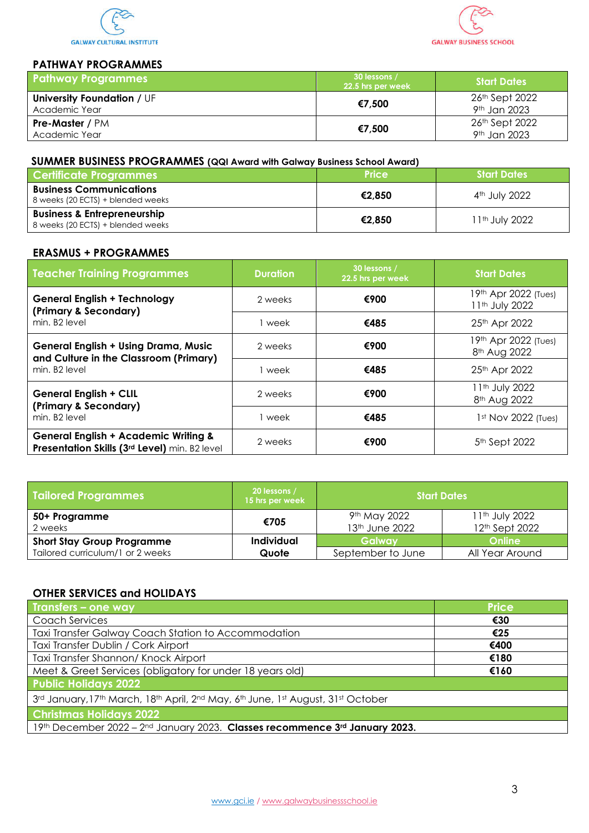



### **PATHWAY PROGRAMMES**

| <b>Pathway Programmes</b>                          | 30 lessons /<br>22.5 hrs per week | <b>Start Dates</b>                         |
|----------------------------------------------------|-----------------------------------|--------------------------------------------|
| <b>University Foundation / UF</b><br>Academic Year | €7,500                            | 26th Sept 2022<br>9 <sup>th</sup> Jan 2023 |
| <b>Pre-Master / PM</b><br>Academic Year            | €7,500                            | 26th Sept 2022<br>9 <sup>th</sup> Jan 2023 |

### **SUMMER BUSINESS PROGRAMMES (QQI Award with Galway Business School Award)**

| <b>Certificate Programmes</b>                                               | <b>Price</b> | <b>Start Dates</b>         |
|-----------------------------------------------------------------------------|--------------|----------------------------|
| <b>Business Communications</b><br>8 weeks (20 ECTS) + blended weeks         | €2.850       | 4 <sup>th</sup> July 2022  |
| <b>Business &amp; Entrepreneurship</b><br>8 weeks (20 ECTS) + blended weeks | €2.850       | 11 <sup>th</sup> July 2022 |

### **ERASMUS + PROGRAMMES**

| <b>Teacher Training Programmes</b>                                                                                 | <b>Duration</b> | 30 lessons /<br>22.5 hrs per week | <b>Start Dates</b>                                     |
|--------------------------------------------------------------------------------------------------------------------|-----------------|-----------------------------------|--------------------------------------------------------|
| <b>General English + Technology</b><br>(Primary & Secondary)                                                       | 2 weeks         | €900                              | 19th Apr 2022 (Tues)<br>11 <sup>th</sup> July 2022     |
| min. B <sub>2</sub> level                                                                                          | week            | €485                              | 25th Apr 2022                                          |
| <b>General English + Using Drama, Music</b><br>and Culture in the Classroom (Primary)<br>min. B <sub>2</sub> level | 2 weeks         | €900                              | 19th Apr 2022 (Tues)<br>8 <sup>th</sup> Aug 2022       |
|                                                                                                                    | week            | €485                              | 25th Apr 2022                                          |
| <b>General English + CLIL</b><br>(Primary & Secondary)<br>min. B <sub>2</sub> level                                | 2 weeks         | €900                              | 11 <sup>th</sup> July 2022<br>8 <sup>th</sup> Aug 2022 |
|                                                                                                                    | week            | €485                              | 1st Nov 2022 (Tues)                                    |
| <b>General English + Academic Writing &amp;</b><br>Presentation Skills (3rd Level) min. B2 level                   | 2 weeks         | €900                              | 5 <sup>th</sup> Sept 2022                              |

| <b>Tailored Programmes</b>        | 20 lessons /<br>15 hrs per week | <b>Start Dates</b>                         |                                              |
|-----------------------------------|---------------------------------|--------------------------------------------|----------------------------------------------|
| 50+ Programme<br>2 weeks          | €705                            | 9 <sup>th</sup> May 2022<br>13th June 2022 | 11 <sup>th</sup> July 2022<br>12th Sept 2022 |
| <b>Short Stay Group Programme</b> | Individual                      | Galway                                     | <b>Online</b>                                |
| Tailored curriculum/1 or 2 weeks  | Quote                           | September to June                          | All Year Around                              |

## **OTHER SERVICES and HOLIDAYS**

| <b>Transfers - one way</b>                                                       | <b>Price</b> |
|----------------------------------------------------------------------------------|--------------|
| Coach Services                                                                   | €30          |
| Taxi Transfer Galway Coach Station to Accommodation                              | €25          |
| Taxi Transfer Dublin / Cork Airport                                              | €400         |
| Taxi Transfer Shannon/ Knock Airport                                             | €180         |
| Meet & Greet Services (obligatory for under 18 years old)                        | €160         |
| <b>Public Holidays 2022</b>                                                      |              |
| 3rd January, 17th March, 18th April, 2nd May, 6th June, 1st August, 31st October |              |
| <b>Christmas Holidays 2022</b>                                                   |              |
| 19th December 2022 - 2nd January 2023. Classes recommence 3rd January 2023.      |              |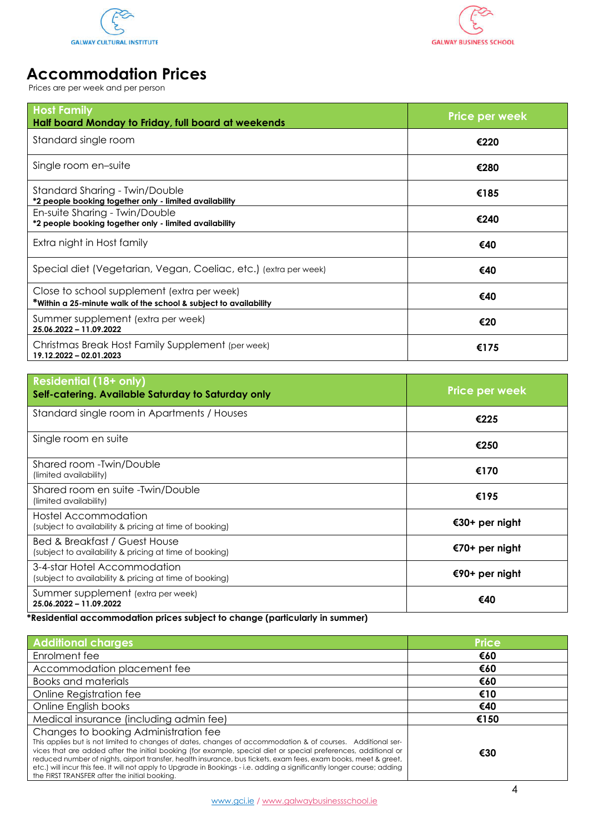



# **Accommodation Prices**

Prices are per week and per person

| <b>Host Family</b><br>Half board Monday to Friday, full board at weekends                                       | <b>Price per week</b> |
|-----------------------------------------------------------------------------------------------------------------|-----------------------|
| Standard single room                                                                                            | €220                  |
| Single room en-suite                                                                                            | €280                  |
| Standard Sharing - Twin/Double<br>*2 people booking together only - limited availability                        | €185                  |
| En-suite Sharing - Twin/Double<br>*2 people booking together only - limited availability                        | €240                  |
| Extra night in Host family                                                                                      | €40                   |
| Special diet (Vegetarian, Vegan, Coeliac, etc.) (extra per week)                                                | €40                   |
| Close to school supplement (extra per week)<br>*Within a 25-minute walk of the school & subject to availability | €40                   |
| Summer supplement (extra per week)<br>25.06.2022 - 11.09.2022                                                   | €20                   |
| Christmas Break Host Family Supplement (per week)<br>19.12.2022 - 02.01.2023                                    | €175                  |

| <b>Residential (18+ only)</b><br>Self-catering. Available Saturday to Saturday only     | <b>Price per week</b> |
|-----------------------------------------------------------------------------------------|-----------------------|
| Standard single room in Apartments / Houses                                             | €225                  |
| Single room en suite                                                                    | €250                  |
| Shared room - Twin/Double<br>(limited availability)                                     | €170                  |
| Shared room en suite -Twin/Double<br>(limited availability)                             | €195                  |
| Hostel Accommodation<br>(subject to availability & pricing at time of booking)          | €30+ per night        |
| Bed & Breakfast / Guest House<br>(subject to availability & pricing at time of booking) | €70+ per night        |
| 3-4-star Hotel Accommodation<br>(subject to availability & pricing at time of booking)  | €90+ per night        |
| Summer supplement (extra per week)<br>25.06.2022 - 11.09.2022                           | €40                   |

#### **\*Residential accommodation prices subject to change (particularly in summer)**

| <b>Additional charges</b>                                                                                                                                                                                                                                                                                                                                                                                                                                                                                                                                              | <b>Price</b> |
|------------------------------------------------------------------------------------------------------------------------------------------------------------------------------------------------------------------------------------------------------------------------------------------------------------------------------------------------------------------------------------------------------------------------------------------------------------------------------------------------------------------------------------------------------------------------|--------------|
| Enrolment fee                                                                                                                                                                                                                                                                                                                                                                                                                                                                                                                                                          | €60          |
| Accommodation placement fee                                                                                                                                                                                                                                                                                                                                                                                                                                                                                                                                            | €60          |
| <b>Books and materials</b>                                                                                                                                                                                                                                                                                                                                                                                                                                                                                                                                             | €60          |
| Online Registration fee                                                                                                                                                                                                                                                                                                                                                                                                                                                                                                                                                | €10          |
| Online English books                                                                                                                                                                                                                                                                                                                                                                                                                                                                                                                                                   | €40          |
| Medical insurance (including admin fee)                                                                                                                                                                                                                                                                                                                                                                                                                                                                                                                                | €150         |
| Changes to booking Administration fee<br>This applies but is not limited to changes of dates, changes of accommodation & of courses. Additional ser-<br>vices that are added after the initial booking (for example, special diet or special preferences, additional or<br>reduced number of nights, airport transfer, health insurance, bus tickets, exam fees, exam books, meet & greet,<br>etc.) will incur this fee. It will not apply to Upgrade in Bookings - i.e. adding a significantly longer course; adding<br>the FIRST TRANSFER after the initial booking. | €30          |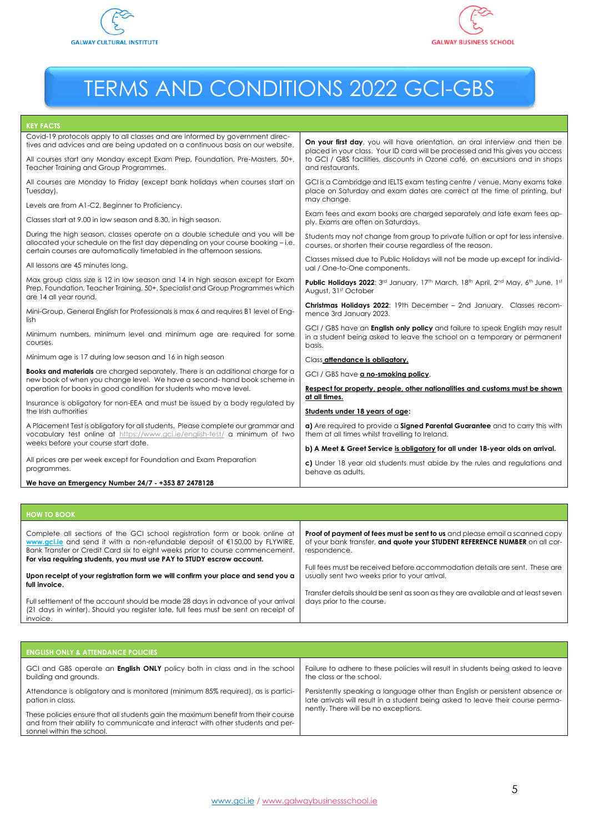



# TERMS AND CONDITIONS 2022 GCI-GBS

#### **KEY FACTS**

| Covid-19 protocols apply to all classes and are informed by government direc-<br>tives and advices and are being updated on a continuous basis on our website.                                                                              | On your first day, you will have orientation, an oral interview and then be<br>placed in your class. Your ID card will be processed and this gives you access              |
|---------------------------------------------------------------------------------------------------------------------------------------------------------------------------------------------------------------------------------------------|----------------------------------------------------------------------------------------------------------------------------------------------------------------------------|
| All courses start any Monday except Exam Prep, Foundation, Pre-Masters, 50+,<br>Teacher Training and Group Programmes.                                                                                                                      | to GCI / GBS facilities, discounts in Ozone café, on excursions and in shops<br>and restaurants.                                                                           |
| All courses are Monday to Friday (except bank holidays when courses start on<br>Tuesday).                                                                                                                                                   | GCI is a Cambridge and IELTS exam testing centre / venue. Many exams take<br>place on Saturday and exam dates are correct at the time of printing, but<br>may change.      |
| Levels are from A1-C2, Beginner to Proficiency.                                                                                                                                                                                             |                                                                                                                                                                            |
| Classes start at 9.00 in low season and 8.30, in high season.                                                                                                                                                                               | Exam fees and exam books are charged separately and late exam fees ap-<br>ply. Exams are often on Saturdays.                                                               |
| During the high season, classes operate on a double schedule and you will be<br>allocated your schedule on the first day depending on your course booking - i.e.<br>certain courses are automatically timetabled in the afternoon sessions. | Students may not change from group to private tuition or opt for less intensive<br>courses, or shorten their course regardless of the reason.                              |
| All lessons are 45 minutes long.                                                                                                                                                                                                            | Classes missed due to Public Holidays will not be made up except for individ-<br>ual / One-to-One components.                                                              |
| Max group class size is 12 in low season and 14 in high season except for Exam<br>Prep, Foundation, Teacher Training, 50+, Specialist and Group Programmes which<br>are 14 all year round.                                                  | Public Holidays 2022: 3rd January, 17th March, 18th April, 2nd May, 6th June, 1st<br>August, 31st October                                                                  |
| Mini-Group, General English for Professionals is max 6 and requires B1 level of Eng-<br>lish                                                                                                                                                | Christmas Holidays 2022: 19th December - 2nd January. Classes recom-<br>mence 3rd January 2023.                                                                            |
| Minimum numbers, minimum level and minimum age are required for some<br>courses.                                                                                                                                                            | GCI / GBS have an <b>English only policy</b> and failure to speak English may result<br>in a student being asked to leave the school on a temporary or permanent<br>basis. |
| Minimum age is 17 during low season and 16 in high season                                                                                                                                                                                   | Class attendance is obligatory.                                                                                                                                            |
| <b>Books and materials</b> are charged separately. There is an additional charge for a<br>new book of when you change level. We have a second- hand book scheme in                                                                          | GCI / GBS have a no-smoking policy.                                                                                                                                        |
| operation for books in good condition for students who move level.                                                                                                                                                                          | Respect for property, people, other nationalities and customs must be shown<br>at all times.                                                                               |
| Insurance is obligatory for non-EEA and must be issued by a body regulated by                                                                                                                                                               |                                                                                                                                                                            |
| the Irish authorities                                                                                                                                                                                                                       | Students under 18 years of age:                                                                                                                                            |
| A Placement Test is obligatory for all students. Please complete our grammar and<br>vocabulary test online at https://www.gci.ie/english-test/ a minimum of two                                                                             | a) Are required to provide a Signed Parental Guarantee and to carry this with<br>them at all times whilst travelling to Ireland.                                           |
| weeks before your course start date.                                                                                                                                                                                                        | b) A Meet & Greet Service is obligatory for all under 18-year olds on arrival.                                                                                             |
| All prices are per week except for Foundation and Exam Preparation<br>programmes.                                                                                                                                                           | c) Under 18 year old students must abide by the rules and regulations and<br>behave as adults.                                                                             |
| We have an Emergency Number 24/7 - +353 87 2478128                                                                                                                                                                                          |                                                                                                                                                                            |

| <b>HOW TO BOOK</b>                                                                                                                                                                                                                                                                                                              |                                                                                                                                                                                  |
|---------------------------------------------------------------------------------------------------------------------------------------------------------------------------------------------------------------------------------------------------------------------------------------------------------------------------------|----------------------------------------------------------------------------------------------------------------------------------------------------------------------------------|
| Complete all sections of the GCI school registration form or book online at<br>www.gci.je and send it with a non-refundable deposit of $\epsilon$ 150.00 by FLYWIRE,<br>Bank Transfer or Credit Card six to eight weeks prior to course commencement.<br>For visa requiring students, you must use PAY to STUDY escrow account. | <b>Proof of payment of fees must be sent to us</b> and please email a scanned copy<br>of your bank transfer, and quote your STUDENT REFERENCE NUMBER on all cor-<br>respondence. |
| Upon receipt of your registration form we will confirm your place and send you a<br>full invoice.                                                                                                                                                                                                                               | Full fees must be received before accommodation details are sent. These are<br>usually sent two weeks prior to your arrival.                                                     |
| Full settlement of the account should be made 28 days in advance of your arrival<br>(21 days in winter). Should you register late, full fees must be sent on receipt of<br>invoice.                                                                                                                                             | Transfer details should be sent as soon as they are available and at least seven<br>days prior to the course.                                                                    |

| <b>ENGLISH ONLY &amp; ATTENDANCE POLICIES</b>                                                                                                                                                      |                                                                                  |
|----------------------------------------------------------------------------------------------------------------------------------------------------------------------------------------------------|----------------------------------------------------------------------------------|
| GCI and GBS operate an <b>English ONLY</b> policy both in class and in the school                                                                                                                  | Failure to adhere to these policies will result in students being asked to leave |
| building and grounds.                                                                                                                                                                              | the class or the school.                                                         |
| Attendance is obligatory and is monitored (minimum 85% required), as is partici-                                                                                                                   | Persistently speaking a language other than English or persistent absence or     |
| pation in class.                                                                                                                                                                                   | late arrivals will result in a student being asked to leave their course perma-  |
| These policies ensure that all students gain the maximum benefit from their course<br>and from their ability to communicate and interact with other students and per-<br>sonnel within the school. | nently. There will be no exceptions.                                             |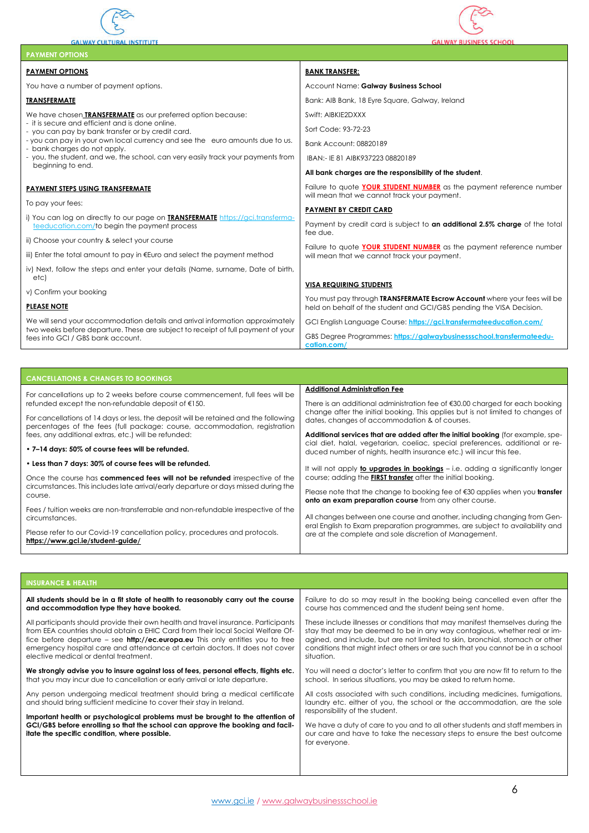

**GALWAY CULTURAL INSTITUTE** 



| <b>PAYMENT OPTIONS</b>                                                                                                                |                                                                                                                                                         |
|---------------------------------------------------------------------------------------------------------------------------------------|---------------------------------------------------------------------------------------------------------------------------------------------------------|
| <b>PAYMENT OPTIONS</b>                                                                                                                | <b>BANK TRANSFER:</b>                                                                                                                                   |
| You have a number of payment options.                                                                                                 | Account Name: Galway Business School                                                                                                                    |
| <b>TRANSFERMATE</b>                                                                                                                   | Bank: AIB Bank, 18 Eyre Square, Galway, Ireland                                                                                                         |
| We have chosen TRANSFERMATE as our preferred option because:                                                                          | Swift: AIBKIE2DXXX                                                                                                                                      |
| - it is secure and efficient and is done online.<br>- you can pay by bank transfer or by credit card.                                 | Sort Code: 93-72-23                                                                                                                                     |
| - you can pay in your own local currency and see the euro amounts due to us.<br>- bank charges do not apply.                          | Bank Account: 08820189                                                                                                                                  |
| - you, the student, and we, the school, can very easily track your payments from                                                      | IBAN:- IE 81 AIBK937223 08820189                                                                                                                        |
| beginning to end.                                                                                                                     | All bank charges are the responsibility of the student.                                                                                                 |
| PAYMENT STEPS USING TRANSFERMATE                                                                                                      | Failure to quote YOUR STUDENT NUMBER as the payment reference number<br>will mean that we cannot track your payment.                                    |
| To pay your fees:                                                                                                                     | <b>PAYMENT BY CREDIT CARD</b>                                                                                                                           |
| i) You can log on directly to our page on <b>TRANSFERMATE</b> https://gci.transferma-<br>teeducation.com/to begin the payment process | Payment by credit card is subject to an additional 2.5% charge of the total                                                                             |
| ii) Choose your country & select your course                                                                                          | fee due.                                                                                                                                                |
| iii) Enter the total amount to pay in €Euro and select the payment method                                                             | Failure to quote YOUR STUDENT NUMBER as the payment reference number<br>will mean that we cannot track your payment.                                    |
| iv) Next, follow the steps and enter your details (Name, surname, Date of birth,<br>etc)                                              |                                                                                                                                                         |
| v) Confirm your booking                                                                                                               | <b>VISA REQUIRING STUDENTS</b>                                                                                                                          |
| <b>PLEASE NOTE</b>                                                                                                                    | You must pay through <b>TRANSFERMATE Escrow Account</b> where your fees will be<br>held on behalf of the student and GCI/GBS pending the VISA Decision. |
| We will send your accommodation details and arrival information approximately                                                         | GCI English Language Course: https://gci.transfermateeducation.com/                                                                                     |
| two weeks before departure. These are subject to receipt of full payment of your<br>fees into GCI / GBS bank account.                 | GBS Degree Programmes: https://galwaybusinessschool.transfermateedu-<br>cation.com/                                                                     |

| <b>CANCELLATIONS &amp; CHANGES TO BOOKINGS</b>                                                                                                                                                                               |                                                                                                                                                                                                                                                                    |
|------------------------------------------------------------------------------------------------------------------------------------------------------------------------------------------------------------------------------|--------------------------------------------------------------------------------------------------------------------------------------------------------------------------------------------------------------------------------------------------------------------|
| For cancellations up to 2 weeks before course commencement, full fees will be<br>refunded except the non-refundable deposit of €150.<br>For cancellations of 14 days or less, the deposit will be retained and the following | <b>Additional Administration Fee</b><br>There is an additional administration fee of $\epsilon$ 30.00 charged for each booking<br>change after the initial booking. This applies but is not limited to changes of<br>dates, changes of accommodation & of courses. |
| percentages of the fees (full package: course, accommodation, registration                                                                                                                                                   | Additional services that are added after the initial booking (for example, spe-                                                                                                                                                                                    |
| fees, any additional extras, etc.) will be refunded:                                                                                                                                                                         | cial diet, halal, vegetarian, coeliac, special preferences, additional or re-                                                                                                                                                                                      |
| • 7–14 days: 50% of course fees will be refunded.                                                                                                                                                                            | duced number of nights, health insurance etc.) will incur this fee.                                                                                                                                                                                                |
| • Less than 7 days: 30% of course fees will be refunded.                                                                                                                                                                     | It will not apply to upgrades in bookings - i.e. adding a significantly longer                                                                                                                                                                                     |
| Once the course has commenced fees will not be refunded irrespective of the<br>circumstances. This includes late arrival/early departure or days missed during the<br>course.                                                | course; adding the <b>FIRST transfer</b> after the initial booking.<br>Please note that the change to booking fee of $\epsilon$ 30 applies when you <b>transfer</b>                                                                                                |
| Fees / tuition weeks are non-transferrable and non-refundable irrespective of the                                                                                                                                            | onto an exam preparation course from any other course.                                                                                                                                                                                                             |
| circumstances.                                                                                                                                                                                                               | All changes between one course and another, including changing from Gen-                                                                                                                                                                                           |
| Please refer to our Covid-19 cancellation policy, procedures and protocols.                                                                                                                                                  | eral English to Exam preparation programmes, are subject to availability and                                                                                                                                                                                       |
| https://www.gci.ie/student-guide/                                                                                                                                                                                            | are at the complete and sole discretion of Management.                                                                                                                                                                                                             |

# **INSURANCE & HEALTH**

| All students should be in a fit state of health to reasonably carry out the course                                                                 | Failure to do so may result in the booking being cancelled even after the                                                                                                                   |
|----------------------------------------------------------------------------------------------------------------------------------------------------|---------------------------------------------------------------------------------------------------------------------------------------------------------------------------------------------|
| and accommodation type they have booked.                                                                                                           | course has commenced and the student being sent home.                                                                                                                                       |
| All participants should provide their own health and travel insurance. Participants                                                                | These include illnesses or conditions that may manifest themselves during the                                                                                                               |
| from EEA countries should obtain a EHIC Card from their local Social Welfare Of-                                                                   | stay that may be deemed to be in any way contagious, whether real or im-                                                                                                                    |
| fice before departure – see <b>http://ec.europa.eu</b> This only entitles you to free                                                              | agined, and include, but are not limited to skin, bronchial, stomach or other                                                                                                               |
| emergency hospital care and attendance at certain doctors. It does not cover                                                                       | conditions that might infect others or are such that you cannot be in a school                                                                                                              |
| elective medical or dental treatment.                                                                                                              | situation.                                                                                                                                                                                  |
| We strongly advise you to insure against loss of fees, personal effects, flights etc.                                                              | You will need a doctor's letter to confirm that you are now fit to return to the                                                                                                            |
| that you may incur due to cancellation or early arrival or late departure.                                                                         | school. In serious situations, you may be asked to return home.                                                                                                                             |
| Any person undergoing medical treatment should bring a medical certificate<br>and should bring sufficient medicine to cover their stay in Ireland. | All costs associated with such conditions, including medicines, fumigations,<br>laundry etc. either of you, the school or the accommodation, are the sole<br>responsibility of the student. |
| Important health or psychological problems must be brought to the attention of                                                                     | We have a duty of care to you and to all other students and staff members in                                                                                                                |
| GCI/GBS before enrolling so that the school can approve the booking and facil-                                                                     | our care and have to take the necessary steps to ensure the best outcome                                                                                                                    |
| itate the specific condition, where possible.                                                                                                      | for everyone.                                                                                                                                                                               |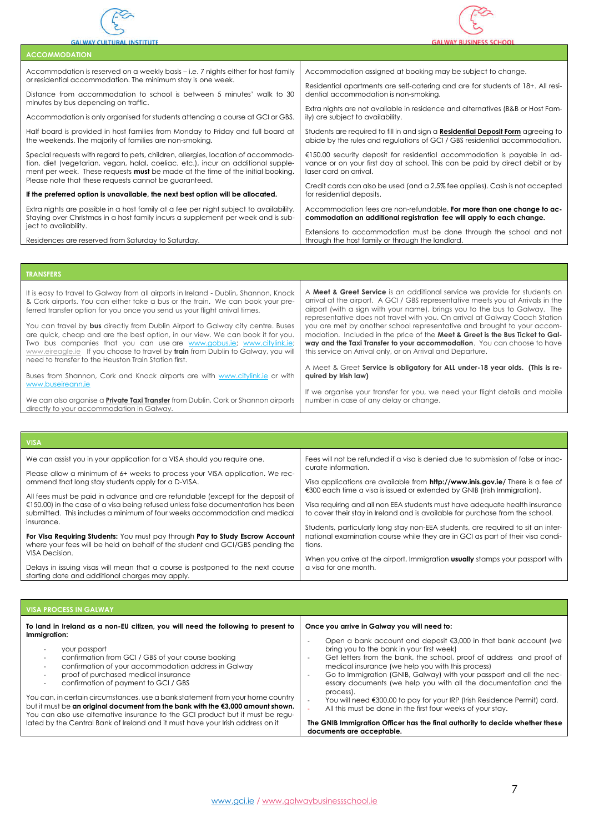



| <b>ACCOMMODATION</b>                                                                   |                                                                                         |
|----------------------------------------------------------------------------------------|-----------------------------------------------------------------------------------------|
| Accommodation is reserved on a weekly basis – i.e. 7 nights either for host family     | Accommodation assigned at booking may be subject to change.                             |
| or residential accommodation. The minimum stay is one week.                            | Residential apartments are self-catering and are for students of 18+. All resi-         |
| Distance from accommodation to school is between 5 minutes' walk to 30                 | dential accommodation is non-smoking.                                                   |
| minutes by bus depending on traffic.                                                   | Extra nights are not available in residence and alternatives (B&B or Host Fam-          |
| Accommodation is only organised for students attending a course at GCI or GBS.         | ily) are subject to availability.                                                       |
| Half board is provided in host families from Monday to Friday and full board at        | Students are required to fill in and sign a <b>Residential Deposit Form</b> agreeing to |
| the weekends. The majority of families are non-smoking.                                | abide by the rules and regulations of GCI / GBS residential accommodation.              |
| Special requests with regard to pets, children, allergies, location of accommoda-      | €150.00 security deposit for residential accommodation is payable in ad-                |
| tion, diet (vegetarian, vegan, halal, coeliac, etc.), incur an additional supple-      | vance or on your first day at school. This can be paid by direct debit or by            |
| ment per week. These requests <b>must</b> be made at the time of the initial booking.  | laser card on arrival.                                                                  |
| Please note that these requests cannot be guaranteed.                                  | Credit cards can also be used (and a 2.5% fee applies). Cash is not accepted            |
| If the preferred option is unavailable, the next best option will be allocated.        | for residential deposits.                                                               |
| Extra nights are possible in a host family at a fee per night subject to availability. | Accommodation fees are non-refundable. For more than one change to ac-                  |
| Staying over Christmas in a host family incurs a supplement per week and is sub-       | commodation an additional registration fee will apply to each change.                   |
| ject to availability.                                                                  | Extensions to accommodation must be done through the school and not                     |
| Residences are reserved from Saturday to Saturday.                                     | through the host family or through the landlord.                                        |

| <b>TRANSFERS</b>                                                                                                                                                                                                                                                                                                                                                                                                                                                                                                                                                                                                                               |                                                                                                                                                                                                                                                                                                                                                                                                                                                                                                                                                                                                                                 |
|------------------------------------------------------------------------------------------------------------------------------------------------------------------------------------------------------------------------------------------------------------------------------------------------------------------------------------------------------------------------------------------------------------------------------------------------------------------------------------------------------------------------------------------------------------------------------------------------------------------------------------------------|---------------------------------------------------------------------------------------------------------------------------------------------------------------------------------------------------------------------------------------------------------------------------------------------------------------------------------------------------------------------------------------------------------------------------------------------------------------------------------------------------------------------------------------------------------------------------------------------------------------------------------|
| It is easy to travel to Galway from all airports in Ireland - Dublin, Shannon, Knock<br>& Cork airports. You can either take a bus or the train. We can book your pre-<br>ferred transfer option for you once you send us your flight arrival times.<br>You can travel by bus directly from Dublin Airport to Galway city centre. Buses<br>are quick, cheap and are the best option, in our view. We can book it for you.<br>Two bus companies that you can use are www.gobus.ie; www.citylink.ie;<br>www.eireagle.ie If you choose to travel by train from Dublin to Galway, you will<br>need to transfer to the Heuston Train Station first. | A Meet & Greet Service is an additional service we provide for students on<br>arrival at the airport. A GCI / GBS representative meets you at Arrivals in the<br>airport (with a sign with your name), brings you to the bus to Galway. The<br>representative does not travel with you. On arrival at Galway Coach Station<br>you are met by another school representative and brought to your accom-<br>modation. Included in the price of the Meet & Greet is the Bus Ticket to Gal-<br>way and the Taxi Transfer to your accommodation. You can choose to have<br>this service on Arrival only, or on Arrival and Departure. |
| Buses from Shannon, Cork and Knock airports are with www.citylink.ie or with<br>www.buseireann.ie                                                                                                                                                                                                                                                                                                                                                                                                                                                                                                                                              | A Meet & Greet Service is obligatory for ALL under-18 year olds. (This is re-<br>quired by Irish law)<br>If we organise your transfer for you, we need your flight details and mobile                                                                                                                                                                                                                                                                                                                                                                                                                                           |
| We can also organise a <b>Private Taxi Transfer</b> from Dublin, Cork or Shannon airports<br>directly to your accommodation in Galway.                                                                                                                                                                                                                                                                                                                                                                                                                                                                                                         | number in case of any delay or change.                                                                                                                                                                                                                                                                                                                                                                                                                                                                                                                                                                                          |

| <b>VISA</b>                                                                                                                                                                                                                                           |                                                                                                                                                                              |
|-------------------------------------------------------------------------------------------------------------------------------------------------------------------------------------------------------------------------------------------------------|------------------------------------------------------------------------------------------------------------------------------------------------------------------------------|
| We can assist you in your application for a VISA should you require one.                                                                                                                                                                              | Fees will not be refunded if a visa is denied due to submission of false or inac-<br>curate information.                                                                     |
| Please allow a minimum of 6+ weeks to process your VISA application. We rec-<br>ommend that long stay students apply for a D-VISA.                                                                                                                    | Visa applications are available from <b>http://www.inis.gov.ie/</b> There is a fee of<br>€300 each time a visa is issued or extended by GNIB (Irish Immigration).            |
| All fees must be paid in advance and are refundable (except for the deposit of<br>$E$ = 150.00) in the case of a visa being refused unless false documentation has been<br>submitted. This includes a minimum of four weeks accommodation and medical | Visa requiring and all non EEA students must have adequate health insurance<br>to cover their stay in Ireland and is available for purchase from the school.                 |
| insurance.<br>For Visa Requiring Students: You must pay through Pay to Study Escrow Account<br>where your fees will be held on behalf of the student and GCI/GBS pending the                                                                          | Students, particularly long stay non-EEA students, are required to sit an inter-<br>national examination course while they are in GCI as part of their visa condi-<br>tions. |
| VISA Decision.<br>Delays in issuing visas will mean that a course is postponed to the next course<br>starting date and additional charges may apply.                                                                                                  | When you arrive at the airport, Immigration <b>usually</b> stamps your passport with<br>a visa for one month.                                                                |

| <b>VISA PROCESS IN GALWAY</b>                                                                                                                                                                                                                                                                                                                                                                                                                                                                                                                                                                                                                                                         |                                                                                                                                                                                                                                                                                                                                                                                                                                                                                                                                                                                                                                                                                                                                                                        |
|---------------------------------------------------------------------------------------------------------------------------------------------------------------------------------------------------------------------------------------------------------------------------------------------------------------------------------------------------------------------------------------------------------------------------------------------------------------------------------------------------------------------------------------------------------------------------------------------------------------------------------------------------------------------------------------|------------------------------------------------------------------------------------------------------------------------------------------------------------------------------------------------------------------------------------------------------------------------------------------------------------------------------------------------------------------------------------------------------------------------------------------------------------------------------------------------------------------------------------------------------------------------------------------------------------------------------------------------------------------------------------------------------------------------------------------------------------------------|
| To land in Ireland as a non-EU citizen, you will need the following to present to<br>Immigration:<br>your passport<br>confirmation from GCI / GBS of your course booking<br>$\overline{\phantom{a}}$<br>confirmation of your accommodation address in Galway<br>proof of purchased medical insurance<br>confirmation of payment to GCI / GBS<br>You can, in certain circumstances, use a bank statement from your home country<br>but it must be an original document from the bank with the €3,000 amount shown.<br>You can also use alternative insurance to the GCI product but it must be regu-<br>lated by the Central Bank of Ireland and it must have your Irish address on it | Once you arrive in Galway you will need to:<br>Open a bank account and deposit $\xi$ 3,000 in that bank account (we<br>bring you to the bank in your first week)<br>Get letters from the bank, the school, proof of address and proof of<br>$\overline{\phantom{a}}$<br>medical insurance (we help you with this process)<br>Go to Immigration (GNIB, Galway) with your passport and all the nec-<br>$\overline{\phantom{a}}$<br>essary documents (we help you with all the documentation and the<br>process).<br>You will need €300.00 to pay for your IRP (Irish Residence Permit) card.<br>All this must be done in the first four weeks of your stay.<br>The GNIB Immigration Officer has the final authority to decide whether these<br>documents are acceptable. |